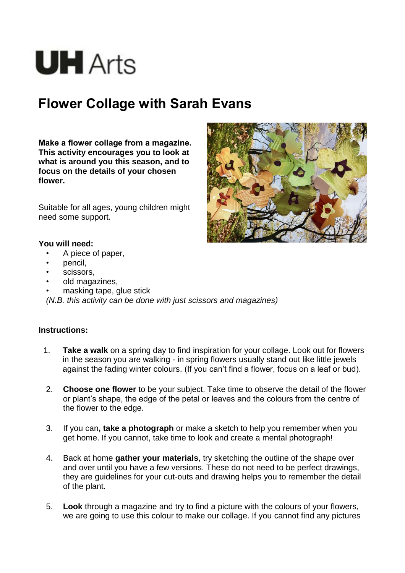# **UH** Arts

# **Flower Collage with Sarah Evans**

**Make a flower collage from a magazine. This activity encourages you to look at what is around you this season, and to focus on the details of your chosen flower.**

Suitable for all ages, young children might need some support.



### **You will need:**

- A piece of paper,
- pencil,
- scissors.
- old magazines,
- masking tape, glue stick

*(N.B. this activity can be done with just scissors and magazines)*

## **Instructions:**

- 1. **Take a walk** on a spring day to find inspiration for your collage. Look out for flowers in the season you are walking - in spring flowers usually stand out like little jewels against the fading winter colours. (If you can't find a flower, focus on a leaf or bud).
- 2. **Choose one flower** to be your subject. Take time to observe the detail of the flower or plant's shape, the edge of the petal or leaves and the colours from the centre of the flower to the edge.
- 3. If you can**, take a photograph** or make a sketch to help you remember when you get home. If you cannot, take time to look and create a mental photograph!
- 4. Back at home **gather your materials**, try sketching the outline of the shape over and over until you have a few versions. These do not need to be perfect drawings, they are guidelines for your cut-outs and drawing helps you to remember the detail of the plant.
- 5. **Look** through a magazine and try to find a picture with the colours of your flowers, we are going to use this colour to make our collage. If you cannot find any pictures